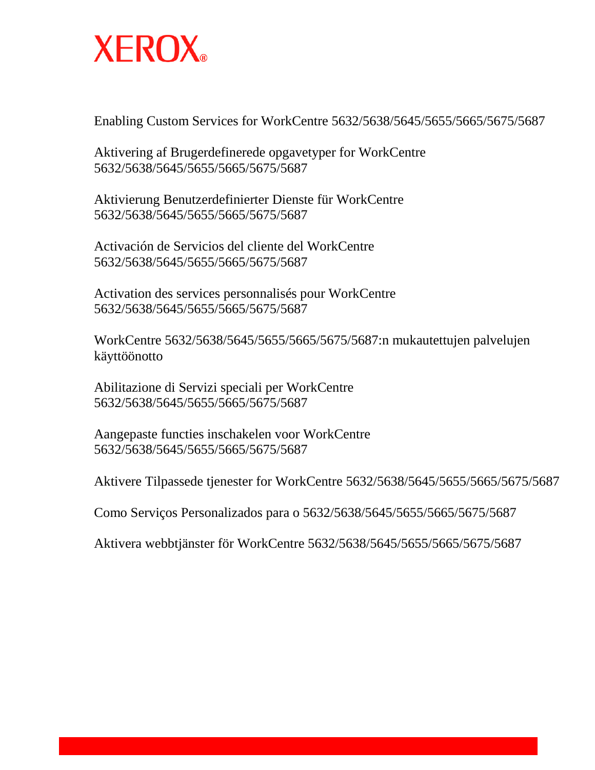

Enabling Custom Services for WorkCentre 5632/5638/5645/5655/5665/5675/5687

Aktivering af Brugerdefinerede opgavetyper for WorkCentre 5632/5638/5645/5655/5665/5675/5687

Aktivierung Benutzerdefinierter Dienste für WorkCentre 5632/5638/5645/5655/5665/5675/5687

Activación de Servicios del cliente del WorkCentre 5632/5638/5645/5655/5665/5675/5687

Activation des services personnalisés pour WorkCentre 5632/5638/5645/5655/5665/5675/5687

WorkCentre 5632/5638/5645/5655/5665/5675/5687:n mukautettujen palvelujen käyttöönotto

Abilitazione di Servizi speciali per WorkCentre 5632/5638/5645/5655/5665/5675/5687

Aangepaste functies inschakelen voor WorkCentre 5632/5638/5645/5655/5665/5675/5687

Aktivere Tilpassede tjenester for WorkCentre 5632/5638/5645/5655/5665/5675/5687

Como Serviços Personalizados para o 5632/5638/5645/5655/5665/5675/5687

Aktivera webbtjänster för WorkCentre 5632/5638/5645/5655/5665/5675/5687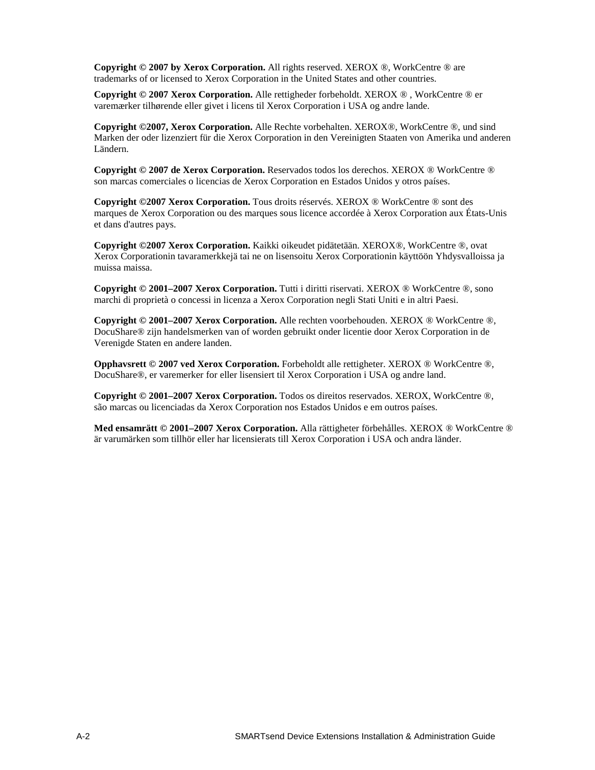**Copyright © 2007 by Xerox Corporation.** All rights reserved. XEROX ®, WorkCentre ® are trademarks of or licensed to Xerox Corporation in the United States and other countries.

**Copyright © 2007 Xerox Corporation.** Alle rettigheder forbeholdt. XEROX ® , WorkCentre ® er varemærker tilhørende eller givet i licens til Xerox Corporation i USA og andre lande.

**Copyright ©2007, Xerox Corporation.** Alle Rechte vorbehalten. XEROX®, WorkCentre ®, und sind Marken der oder lizenziert für die Xerox Corporation in den Vereinigten Staaten von Amerika und anderen Ländern.

**Copyright © 2007 de Xerox Corporation.** Reservados todos los derechos. XEROX ® WorkCentre ® son marcas comerciales o licencias de Xerox Corporation en Estados Unidos y otros países.

**Copyright ©2007 Xerox Corporation.** Tous droits réservés. XEROX ® WorkCentre ® sont des marques de Xerox Corporation ou des marques sous licence accordée à Xerox Corporation aux États-Unis et dans d'autres pays.

**Copyright ©2007 Xerox Corporation.** Kaikki oikeudet pidätetään. XEROX®, WorkCentre ®, ovat Xerox Corporationin tavaramerkkejä tai ne on lisensoitu Xerox Corporationin käyttöön Yhdysvalloissa ja muissa maissa.

**Copyright © 2001–2007 Xerox Corporation.** Tutti i diritti riservati. XEROX ® WorkCentre ®, sono marchi di proprietà o concessi in licenza a Xerox Corporation negli Stati Uniti e in altri Paesi.

**Copyright © 2001–2007 Xerox Corporation.** Alle rechten voorbehouden. XEROX ® WorkCentre ®, DocuShare® zijn handelsmerken van of worden gebruikt onder licentie door Xerox Corporation in de Verenigde Staten en andere landen.

**Opphavsrett © 2007 ved Xerox Corporation.** Forbeholdt alle rettigheter. XEROX ® WorkCentre ®, DocuShare®, er varemerker for eller lisensiert til Xerox Corporation i USA og andre land.

**Copyright © 2001–2007 Xerox Corporation.** Todos os direitos reservados. XEROX, WorkCentre ®, são marcas ou licenciadas da Xerox Corporation nos Estados Unidos e em outros países.

**Med ensamrätt © 2001–2007 Xerox Corporation.** Alla rättigheter förbehålles. XEROX ® WorkCentre ® är varumärken som tillhör eller har licensierats till Xerox Corporation i USA och andra länder.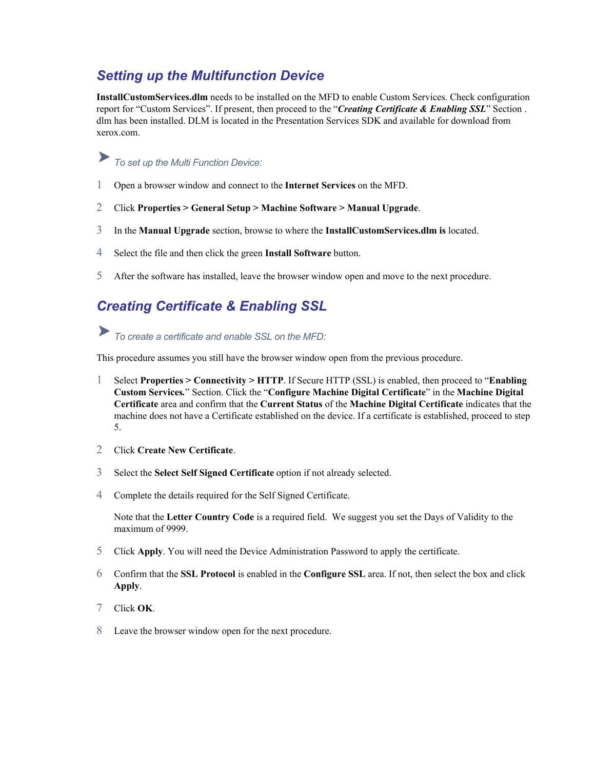### *Setting up the Multifunction Device*

**InstallCustomServices.dlm** needs to be installed on the MFD to enable Custom Services. Check configuration report for "Custom Services". If present, then proceed to the "*Creating Certificate & Enabling SSL*" Section . dlm has been installed. DLM is located in the Presentation Services SDK and available for download from xerox.com.

# *To set up the Multi Function Device:*

- 1 Open a browser window and connect to the **Internet Services** on the MFD.
- 2 Click **Properties > General Setup > Machine Software > Manual Upgrade**.
- 3 In the **Manual Upgrade** section, browse to where the **InstallCustomServices.dlm is** located.
- 4 Select the file and then click the green **Install Software** button.
- 5 After the software has installed, leave the browser window open and move to the next procedure.

### *Creating Certificate & Enabling SSL*

*To create a certificate and enable SSL on the MFD:* 

This procedure assumes you still have the browser window open from the previous procedure.

- 1 Select **Properties > Connectivity > HTTP**. If Secure HTTP (SSL) is enabled, then proceed to "**Enabling Custom Services***.*" Section. Click the "**Configure Machine Digital Certificate**" in the **Machine Digital Certificate** area and confirm that the **Current Status** of the **Machine Digital Certificate** indicates that the machine does not have a Certificate established on the device. If a certificate is established, proceed to step 5.
- 2 Click **Create New Certificate**.
- 3 Select the **Select Self Signed Certificate** option if not already selected.
- 4 Complete the details required for the Self Signed Certificate.

Note that the Letter Country Code is a required field. We suggest you set the Days of Validity to the maximum of 9999.

- 5 Click **Apply**. You will need the Device Administration Password to apply the certificate.
- 6 Confirm that the SSL Protocol is enabled in the Configure SSL area. If not, then select the box and click **Apply**.
- 7 Click **OK**.
- 8 Leave the browser window open for the next procedure.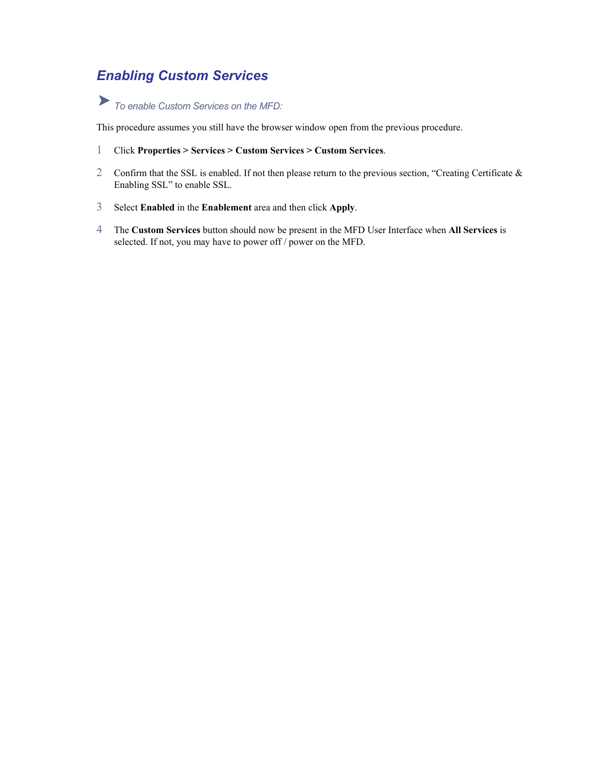## *Enabling Custom Services*

# *To enable Custom Services on the MFD:*

This procedure assumes you still have the browser window open from the previous procedure.

- 1 Click **Properties > Services > Custom Services > Custom Services**.
- 2 Confirm that the SSL is enabled. If not then please return to the previous section, "Creating Certificate & Enabling SSL" to enable SSL.
- 3 Select **Enabled** in the **Enablement** area and then click **Apply**.
- 4 The **Custom Services** button should now be present in the MFD User Interface when **All Services** is selected. If not, you may have to power off / power on the MFD.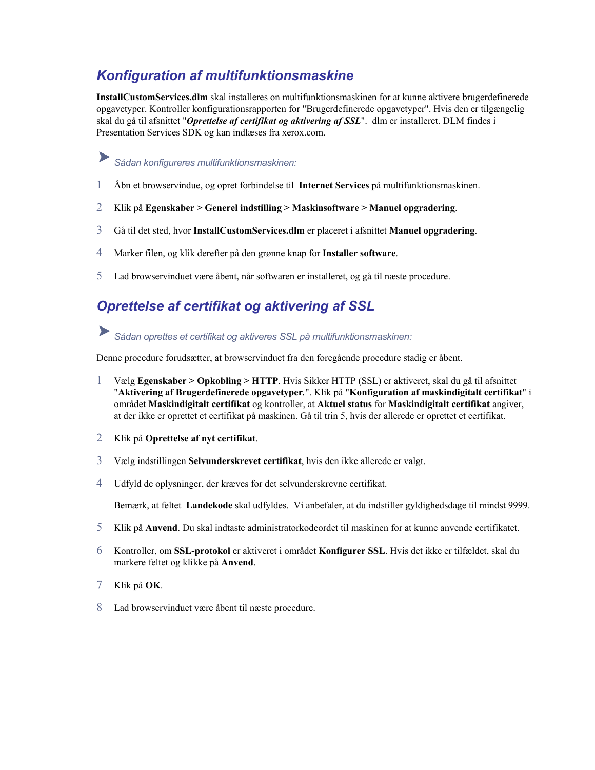### *Konfiguration af multifunktionsmaskine*

**InstallCustomServices.dlm** skal installeres on multifunktionsmaskinen for at kunne aktivere brugerdefinerede opgavetyper. Kontroller konfigurationsrapporten for "Brugerdefinerede opgavetyper". Hvis den er tilgængelig skal du gå til afsnittet "*Oprettelse af certifikat og aktivering af SSL*". dlm er installeret. DLM findes i Presentation Services SDK og kan indlæses fra xerox.com.

### ▶ *Sådan konfigureres multifunktionsmaskinen:*

- 1 Åbn et browservindue, og opret forbindelse til **Internet Services** på multifunktionsmaskinen.
- 2 Klik på **Egenskaber > Generel indstilling > Maskinsoftware > Manuel opgradering**.
- 3 Gå til det sted, hvor **InstallCustomServices.dlm** er placeret i afsnittet **Manuel opgradering**.
- 4 Marker filen, og klik derefter på den grønne knap for **Installer software**.
- 5 Lad browservinduet være åbent, når softwaren er installeret, og gå til næste procedure.

### *Oprettelse af certifikat og aktivering af SSL*

*Sådan oprettes et certifikat og aktiveres SSL på multifunktionsmaskinen:* 

Denne procedure forudsætter, at browservinduet fra den foregående procedure stadig er åbent.

- 1 Vælg **Egenskaber > Opkobling > HTTP**. Hvis Sikker HTTP (SSL) er aktiveret, skal du gå til afsnittet "**Aktivering af Brugerdefinerede opgavetyper***.*". Klik på "**Konfiguration af maskindigitalt certifikat**" i området **Maskindigitalt certifikat** og kontroller, at **Aktuel status** for **Maskindigitalt certifikat** angiver, at der ikke er oprettet et certifikat på maskinen. Gå til trin 5, hvis der allerede er oprettet et certifikat.
- 2 Klik på **Oprettelse af nyt certifikat**.
- 3 Vælg indstillingen **Selvunderskrevet certifikat**, hvis den ikke allerede er valgt.
- 4 Udfyld de oplysninger, der kræves for det selvunderskrevne certifikat.

Bemærk, at feltet **Landekode** skal udfyldes. Vi anbefaler, at du indstiller gyldighedsdage til mindst 9999.

- 5 Klik på **Anvend**. Du skal indtaste administratorkodeordet til maskinen for at kunne anvende certifikatet.
- 6 Kontroller, om SSL-protokol er aktiveret i området Konfigurer SSL. Hvis det ikke er tilfældet, skal du markere feltet og klikke på **Anvend**.
- 7 Klik på **OK**.
- 8 Lad browservinduet være åbent til næste procedure.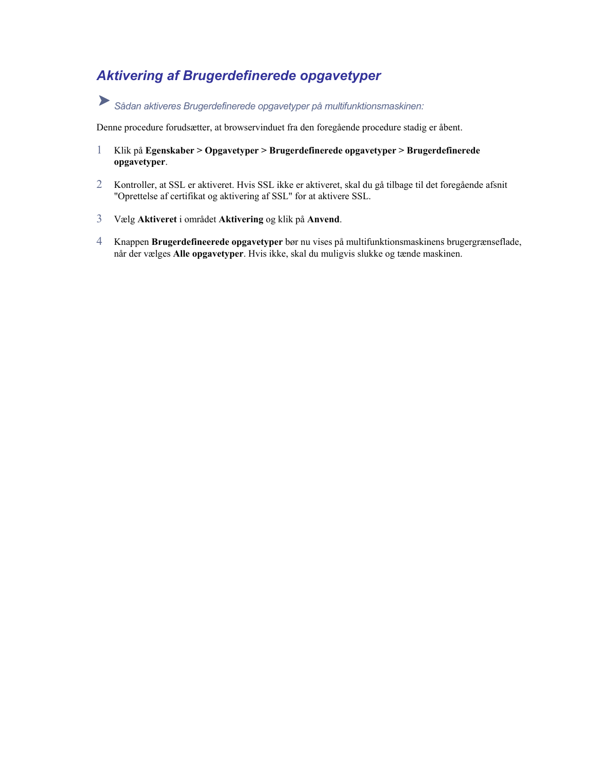### *Aktivering af Brugerdefinerede opgavetyper*

*Sådan aktiveres Brugerdefinerede opgavetyper på multifunktionsmaskinen:*

Denne procedure forudsætter, at browservinduet fra den foregående procedure stadig er åbent.

- 1 Klik på **Egenskaber > Opgavetyper > Brugerdefinerede opgavetyper > Brugerdefinerede opgavetyper**.
- 2 Kontroller, at SSL er aktiveret. Hvis SSL ikke er aktiveret, skal du gå tilbage til det foregående afsnit "Oprettelse af certifikat og aktivering af SSL" for at aktivere SSL.
- 3 Vælg **Aktiveret** i området **Aktivering** og klik på **Anvend**.
- 4 Knappen **Brugerdefineerede opgavetyper** bør nu vises på multifunktionsmaskinens brugergrænseflade, når der vælges **Alle opgavetyper**. Hvis ikke, skal du muligvis slukke og tænde maskinen.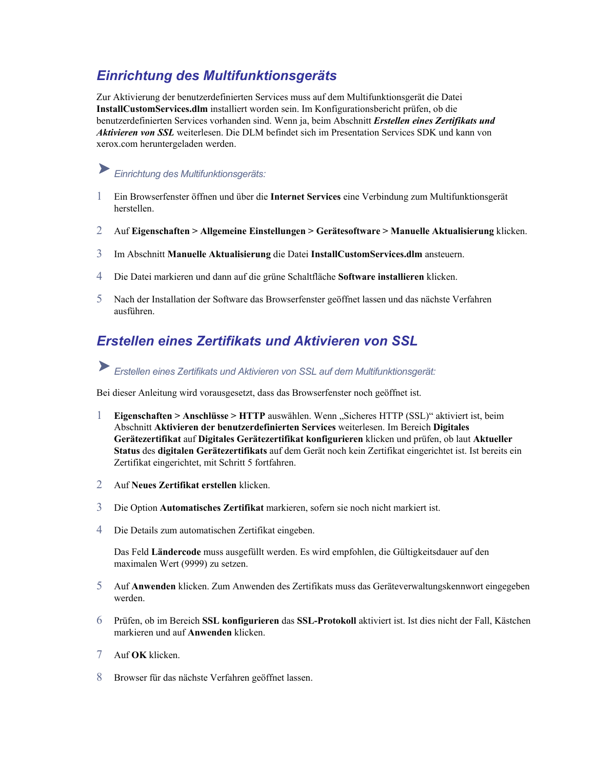### *Einrichtung des Multifunktionsgeräts*

Zur Aktivierung der benutzerdefinierten Services muss auf dem Multifunktionsgerät die Datei **InstallCustomServices.dlm** installiert worden sein. Im Konfigurationsbericht prüfen, ob die benutzerdefinierten Services vorhanden sind. Wenn ja, beim Abschnitt *Erstellen eines Zertifikats und Aktivieren von SSL* weiterlesen. Die DLM befindet sich im Presentation Services SDK und kann von xerox.com heruntergeladen werden.

# *Einrichtung des Multifunktionsgeräts:*

- 1 Ein Browserfenster öffnen und über die **Internet Services** eine Verbindung zum Multifunktionsgerät herstellen.
- 2 Auf **Eigenschaften > Allgemeine Einstellungen > Gerätesoftware > Manuelle Aktualisierung** klicken.
- 3 Im Abschnitt **Manuelle Aktualisierung** die Datei **InstallCustomServices.dlm** ansteuern.
- 4 Die Datei markieren und dann auf die grüne Schaltfläche **Software installieren** klicken.
- 5 Nach der Installation der Software das Browserfenster geöffnet lassen und das nächste Verfahren ausführen.

### *Erstellen eines Zertifikats und Aktivieren von SSL*

### *Erstellen eines Zertifikats und Aktivieren von SSL auf dem Multifunktionsgerät:*

Bei dieser Anleitung wird vorausgesetzt, dass das Browserfenster noch geöffnet ist.

- 1 **Eigenschaften > Anschlüsse > HTTP** auswählen. Wenn "Sicheres HTTP (SSL)" aktiviert ist, beim Abschnitt **Aktivieren der benutzerdefinierten Services** weiterlesen. Im Bereich **Digitales Gerätezertifikat** auf **Digitales Gerätezertifikat konfigurieren** klicken und prüfen, ob laut **Aktueller Status** des **digitalen Gerätezertifikats** auf dem Gerät noch kein Zertifikat eingerichtet ist. Ist bereits ein Zertifikat eingerichtet, mit Schritt 5 fortfahren.
- 2 Auf **Neues Zertifikat erstellen** klicken.
- 3 Die Option **Automatisches Zertifikat** markieren, sofern sie noch nicht markiert ist.
- 4 Die Details zum automatischen Zertifikat eingeben.

Das Feld Ländercode muss ausgefüllt werden. Es wird empfohlen, die Gültigkeitsdauer auf den maximalen Wert (9999) zu setzen.

- 5 Auf Anwenden klicken. Zum Anwenden des Zertifikats muss das Geräteverwaltungskennwort eingegeben werden.
- 6 Prüfen, ob im Bereich SSL konfigurieren das SSL-Protokoll aktiviert ist. Ist dies nicht der Fall, Kästchen **Anwenden** klicken. markieren und auf
- 7 Auf **OK** klicken.
- 8 Browser für das nächste Verfahren geöffnet lassen.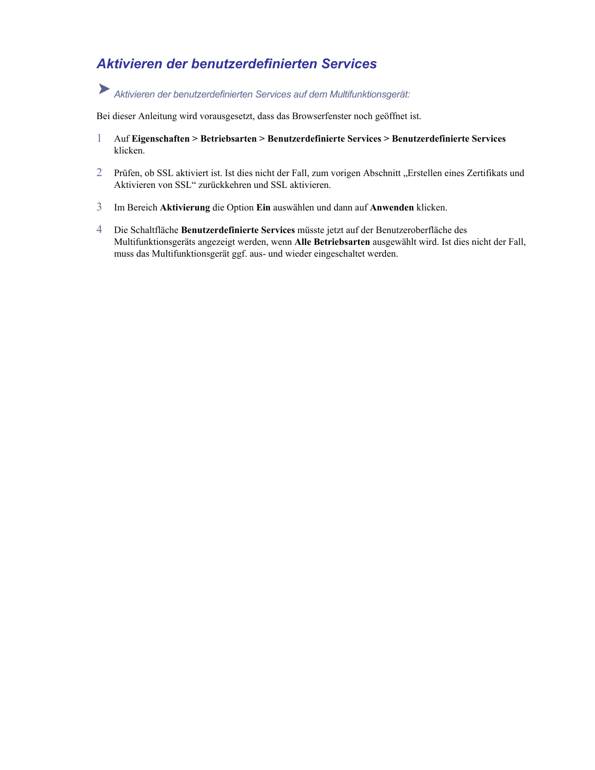### *Aktivieren der benutzerdefinierten Services*

# *Aktivieren der benutzerdefinierten Services auf dem Multifunktionsgerät:*

Bei dieser Anleitung wird vorausgesetzt, dass das Browserfenster noch geöffnet ist.

- 1 Auf **Eigenschaften > Betriebsarten > Benutzerdefinierte Services > Benutzerdefinierte Services** klicken.
- 2 Prüfen, ob SSL aktiviert ist. Ist dies nicht der Fall, zum vorigen Abschnitt "Erstellen eines Zertifikats und Aktivieren von SSL" zurückkehren und SSL aktivieren.
- 3 Im Bereich **Aktivierung** die Option **Ein** auswählen und dann auf **Anwenden** klicken.
- 4 Die Schaltfläche **Benutzerdefinierte Services** müsste jetzt auf der Benutzeroberfläche des Multifunktionsgeräts angezeigt werden, wenn **Alle Betriebsarten** ausgewählt wird. Ist dies nicht der Fall, muss das Multifunktionsgerät ggf. aus- und wieder eingeschaltet werden.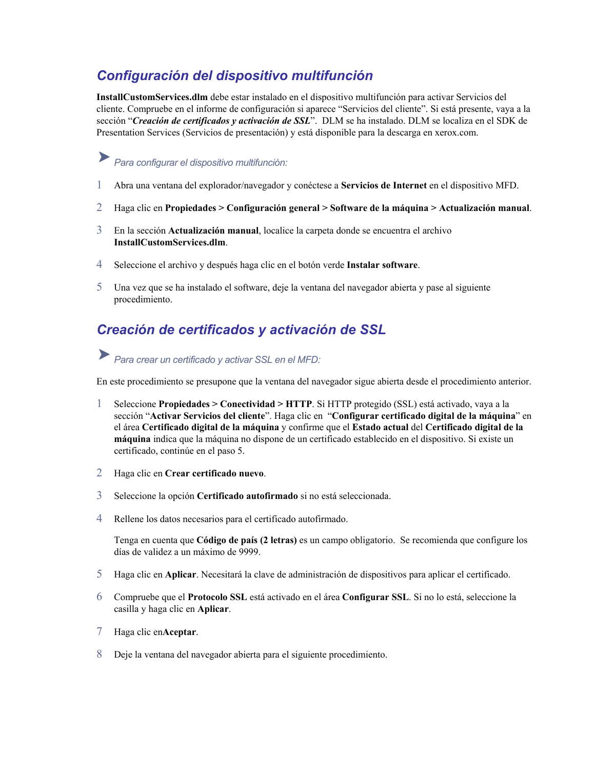### *Configuración del dispositivo multifunción*

**InstallCustomServices.dlm** debe estar instalado en el dispositivo multifunción para activar Servicios del cliente. Compruebe en el informe de configuración si aparece "Servicios del cliente". Si está presente, vaya a la sección "*Creación de certificados y activación de SSL*". DLM se ha instalado. DLM se localiza en el SDK de Presentation Services (Servicios de presentación) y está disponible para la descarga en xerox.com.

# *Para configurar el dispositivo multifunción:*

- 1 Abra una ventana del explorador/navegador y conéctese a **Servicios de Internet** en el dispositivo MFD.
- 2 Haga clic en **Propiedades > Configuración general > Software de la máquina > Actualización manual**.
- 3 En la sección **Actualización manual**, localice la carpeta donde se encuentra el archivo **InstallCustomServices.dlm**.
- 4 Seleccione el archivo y después haga clic en el botón verde **Instalar software**.
- 5 Una vez que se ha instalado el software, deje la ventana del navegador abierta y pase al siguiente procedimiento.

### *Creación de certificados y activación de SSL*

### *Para crear un certificado y activar SSL en el MFD:*

En este procedimiento se presupone que la ventana del navegador sigue abierta desde el procedimiento anterior.

- 1 Seleccione **Propiedades > Conectividad > HTTP**. Si HTTP protegido (SSL) está activado, vaya a la sección "**Activar Servicios del cliente**". Haga clic en "**Configurar certificado digital de la máquina**" en el área **Certificado digital de la máquina** y confirme que el **Estado actual** del **Certificado digital de la máquina** indica que la máquina no dispone de un certificado establecido en el dispositivo. Si existe un certificado, continúe en el paso 5.
- 2 Haga clic en **Crear certificado nuevo**.
- 3 Seleccione la opción **Certificado autofirmado** si no está seleccionada.
- 4 Rellene los datos necesarios para el certificado autofirmado.

Tenga en cuenta que Código de país (2 letras) es un campo obligatorio. Se recomienda que configure los días de validez a un máximo de 9999.

- 5 Haga clic en **Aplicar**. Necesitará la clave de administración de dispositivos para aplicar el certificado.
- 6 **L** está activado en el área **Configurar SSL**. Si no lo está, seleccione la Compruebe que el **Protocolo SS** casilla y haga clic en **Aplicar**.
- 7 Haga clic en**Aceptar**.
- 8 Deje la ventana del navegador abierta para el siguiente procedimiento.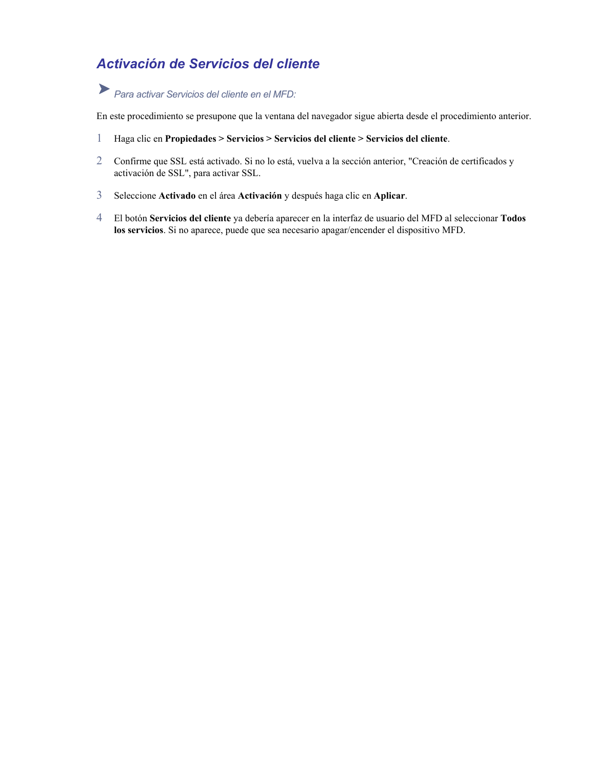### *Activación de Servicios del cliente*

*Para activar Servicios del cliente en el MFD:* 

En este procedimiento se presupone que la ventana del navegador sigue abierta desde el procedimiento anterior.

- **el cliente**. 1 Haga clic en **Propiedades > Servicios > Servicios del cliente > Servicios d**
- 2 Confirme que SSL está activado. Si no lo está, vuelva a la sección anterior, "Creación de certificados y activación de SSL", para activar SSL.
- 3 Seleccione **Activado** en el área **Activación** y después haga clic en **Aplicar**.
- 4 El botón **Servicios del cliente** ya debería aparecer en la interfaz de usuario del MFD al seleccionar **Todos los servicios**. Si no aparece, puede que sea necesario apagar/encender el dispositivo MFD.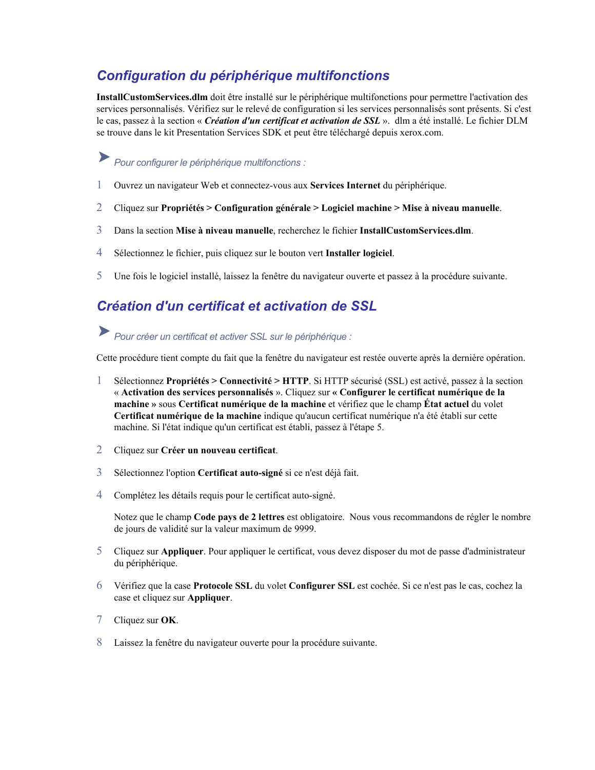### *Configuration du périphérique multifonctions*

**InstallCustomServices.dlm** doit être installé sur le périphérique multifonctions pour permettre l'activation des services personnalisés. Vérifiez sur le relevé de configuration si les services personnalisés sont présents. Si c'est le cas, passez à la section « *Création d'un certificat et activation de SSL* ». dlm a été installé. Le fichier DLM se trouve dans le kit Presentation Services SDK et peut être téléchargé depuis xerox.com.

# *Pour configurer le périphérique multifonctions :*

- 1 Ouvrez un navigateur Web et connectez-vous aux **Services Internet** du périphérique.
- 2 Cliquez sur **Propriétés > Configuration générale > Logiciel machine > Mise à niveau manuelle**.
- 3 Dans la section **Mise à niveau manuelle**, recherchez le fichier **InstallCustomServices.dlm**.
- 4 Sélectionnez le fichier, puis cliquez sur le bouton vert **Installer logiciel**.
- 5 Une fois le logiciel installé, laissez la fenêtre du navigateur ouverte et passez à la procédure suivante.

### *Création d'un certificat et activation de SSL*

### *Pour créer un certificat et activer SSL sur le périphérique :*

Cette procédure tient compte du fait que la fenêtre du navigateur est restée ouverte après la dernière opération.

- 1 Sélectionnez **Propriétés > Connectivité > HTTP**. Si HTTP sécurisé (SSL) est activé, passez à la section « **Activation des services personnalisés** ». Cliquez sur **« Configurer le certificat numérique de la machine »** sous **Certificat numérique de la machine** et vérifiez que le champ **État actuel** du volet **Certificat numérique de la machine** indique qu'aucun certificat numérique n'a été établi sur cette machine. Si l'état indique qu'un certificat est établi, passez à l'étape 5.
- 2 Cliquez sur **Créer un nouveau certificat**.
- 3 Sélectionnez l'option **Certificat auto-signé** si ce n'est déjà fait.
- 4 Complétez les détails requis pour le certificat auto-signé.

Notez que le champ **Code pays de 2 lettres** est obligatoire. Nous vous recommandons de régler le nombre de jours de validité sur la valeur maximum de 9999.

- 5 Cliquez sur Appliquer. Pour appliquer le certificat, vous devez disposer du mot de passe d'administrateur du périphérique.
- 6 **SL** du volet **Configurer SSL** est cochée. Si ce n'est pas le cas, cochez la Vérifiez que la case **Protocole S** case et cliquez sur **Appliquer**.
- 7 Cliquez sur **OK**.
- 8 Laissez la fenêtre du navigateur ouverte pour la procédure suivante.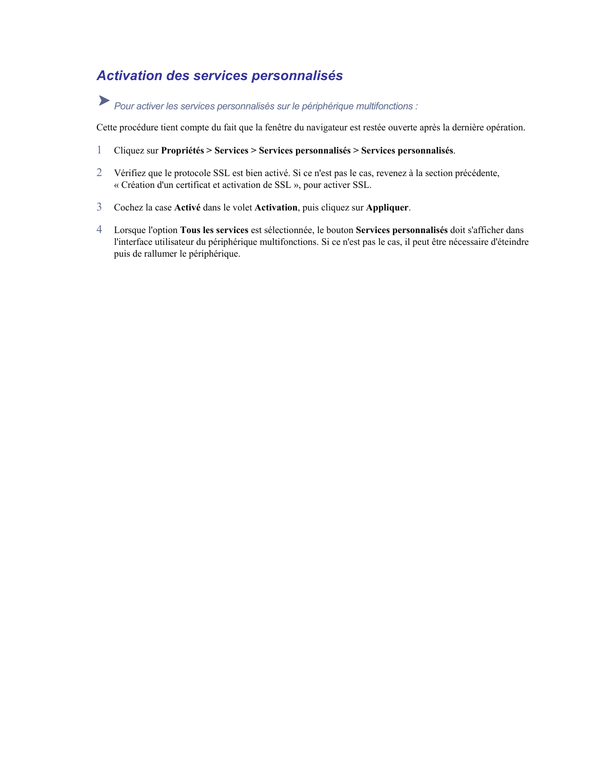### *Activation des services personnalisés*

# *Pour activer les services personnalisés sur le périphérique multifonctions :*

Cette procédure tient compte du fait que la fenêtre du navigateur est restée ouverte après la dernière opération.

- 1 Cliquez sur **Propriétés > Services > Services personnalisés > Services personnalisés**.
- 2 Vérifiez que le protocole SSL est bien activé. Si ce n'est pas le cas, revenez à la section précédente, « Création d'un certificat et activation de SSL », pour activer SSL.
- 3 Cochez la case **Activé** dans le volet **Activation**, puis cliquez sur **Appliquer**.
- 4 Lorsque l'option **Tous les services** est sélectionnée, le bouton **Services personnalisés** doit s'afficher dans l'interface utilisateur du périphérique multifonctions. Si ce n'est pas le cas, il peut être nécessaire d'éteindre puis de rallumer le périphérique.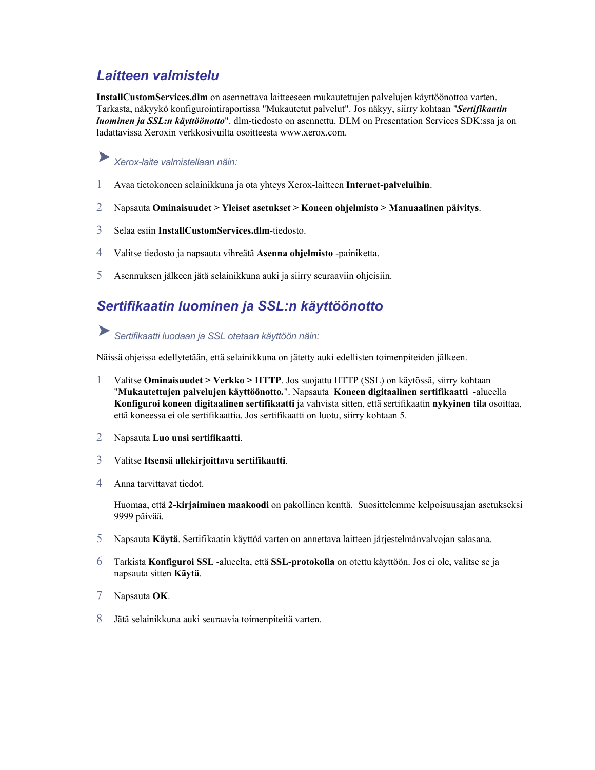### *Laitteen valmistelu*

**InstallCustomServices.dlm** on asennettava laitteeseen mukautettujen palvelujen käyttöönottoa varten. Tarkasta, näkyykö konfigurointiraportissa "Mukautetut palvelut". Jos näkyy, siirry kohtaan "*Sertifikaatin luominen ja SSL:n käyttöönotto*". dlm-tiedosto on asennettu. DLM on Presentation Services SDK:ssa ja on ladattavissa Xeroxin verkkosivuilta osoitteesta www.xerox.com.

## *Xerox-laite valmistellaan näin:*

- 1 Avaa tietokoneen selainikkuna ja ota yhteys Xerox-laitteen **Internet-palveluihin**.
- 2 Napsauta **Ominaisuudet > Yleiset asetukset > Koneen ohjelmisto > Manuaalinen päivitys**.
- 3 Selaa esiin **InstallCustomServices.dlm**-tiedosto.
- 4 Valitse tiedosto ja napsauta vihreätä **Asenna ohjelmisto** -painiketta.
- 5 Asennuksen jälkeen jätä selainikkuna auki ja siirry seuraaviin ohjeisiin.

### *Sertifikaatin luominen ja SSL:n käyttöönotto*

*Sertifikaatti luodaan ja SSL otetaan käyttöön näin:* 

Näissä ohjeissa edellytetään, että selainikkuna on jätetty auki edellisten toimenpiteiden jälkeen.

- 1 Valitse **Ominaisuudet > Verkko > HTTP**. Jos suojattu HTTP (SSL) on käytössä, siirry kohtaan "**Mukautettujen palvelujen käyttöönotto***.*". Napsauta **Koneen digitaalinen sertifikaatti** -alueella **Konfiguroi koneen digitaalinen sertifikaatti** ja vahvista sitten, että sertifikaatin **nykyinen tila** osoittaa, että koneessa ei ole sertifikaattia. Jos sertifikaatti on luotu, siirry kohtaan 5.
- 2 Napsauta **Luo uusi sertifikaatti**.
- 3 Valitse **Itsensä allekirjoittava sertifikaatti**.
- 4 Anna tarvittavat tied ot.

Huomaa, että 2-kirjaiminen maakoodi on pakollinen kenttä. Suosittelemme kelpoisuusajan asetukseksi 9999 päiv ää.

- 5 Napsauta **Käytä**. Sertifikaatin käyttöä varten on annettava laitteen järjestelmänvalvojan salasana.
- 6 Tarkista Konfiguroi SSL -alueelta, että SSL-protokolla on otettu käyttöön. Jos ei ole, valitse se ja napsauta sitten **Käytä**.
- 7 Napsauta **OK**.
- 8 Jätä selainikkuna auki seuraavia toimenpiteitä varten.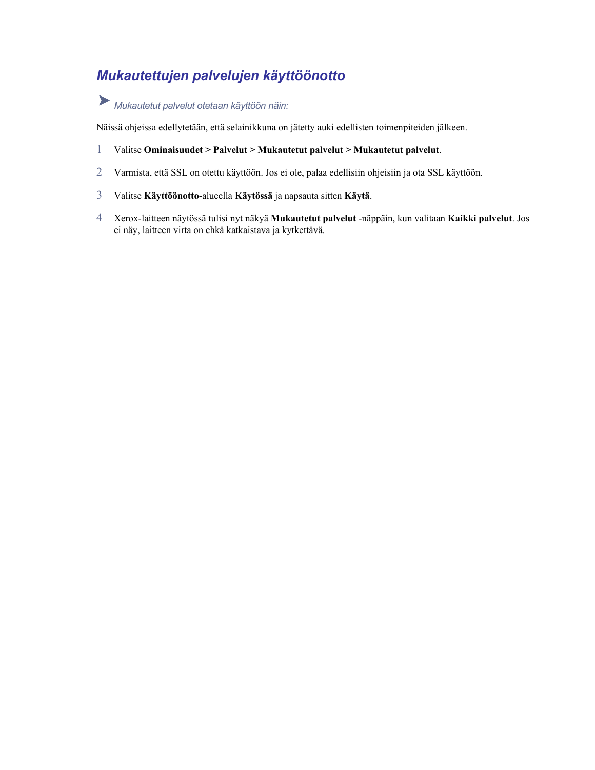## *Mukautettujen palvelujen käyttöönotto*

# *Mukautetut palvelut otetaan käyttöön näin:*

Näissä ohjeissa edellytetään, että selainikkuna on jätetty auki edellisten toimenpiteiden jälkeen.

- 1 Valitse **Ominaisuudet > Palvelut > Mukautetut palvelut > Mukautetut palvelut**.
- 2 Varmista, että SSL on otettu käyttöön. Jos ei ole, palaa edellisiin ohjeisiin ja ota SSL käyttöön.
- 3 Valitse **Käyttöönotto**-alueella **Käytössä** ja napsauta sitten **Käytä**.
- 4 Xerox-laitteen näytössä tulisi nyt näkyä **Mukautetut palvelut** -näppäin, kun valitaan **Kaikki palvelut**. Jos ei näy, laitteen virta on ehkä katkaistava ja kytkettävä.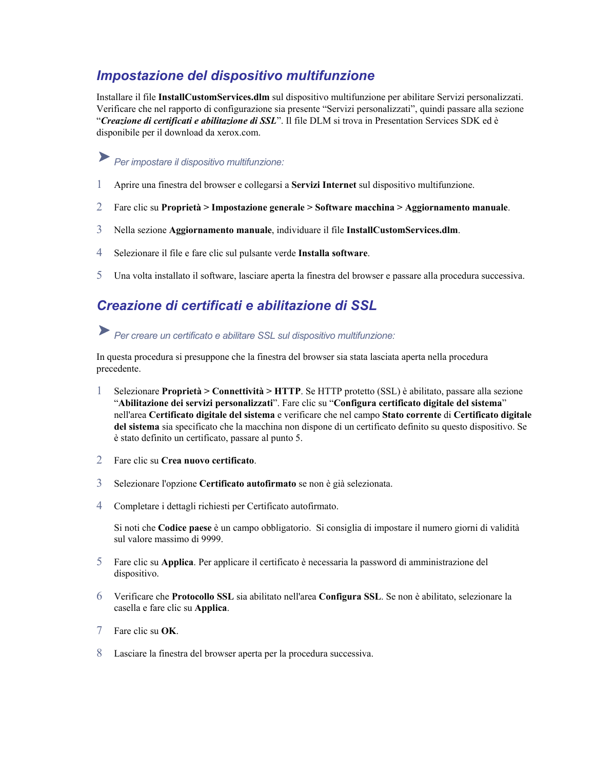### *Impostazione del dispositivo multifunzione*

Installare il file **InstallCustomServices.dlm** sul dispositivo multifunzione per abilitare Servizi personalizzati. Verificare che nel rapporto di configurazione sia presente "Servizi personalizzati", quindi passare alla sezione "*Creazione di certificati e abilitazione di SSL*". Il file DLM si trova in Presentation Services SDK ed è disponibile per il download da xerox.com.

## *Per impostare il dispositivo multifunzione:*

- 1 Aprire una finestra del browser e collegarsi a **Servizi Internet** sul dispositivo multifunzione.
- 2 Fare clic su **Proprietà > Impostazione generale > Software macchina > Aggiornamento manuale**.
- 3 Nella sezione **Aggiornamento manuale**, individuare il file **InstallCustomServices.dlm**.
- 4 Selezionare il file e fare clic sul pulsante verde **Installa software**.
- 5 Una volta installato il software, lasciare aperta la finestra del browser e passare alla procedura successiva.

### *Creazione di certificati e abilitazione di SSL*

*Per creare un certificato e abilitare SSL sul dispositivo multifunzione:*

In questa procedura si presuppone che la finestra del browser sia stata lasciata aperta nella procedura precedente.

- 1 Selezionare **Proprietà > Connettività > HTTP**. Se HTTP protetto (SSL) è abilitato, passare alla sezione "**Abilitazione dei servizi personalizzati**". Fare clic su "**Configura certificato digitale del sistema**" nell'area **Certificato digitale del sistema** e verificare che nel campo **Stato corrente** di **Certificato digitale del sistema** sia specificato che la macchina non dispone di un certificato definito su questo dispositivo. Se è stato definito un certificato, passare al punto 5.
- 2 Fare clic su **Crea nuovo certificato**.
- 3 Selezionare l'opzione **Certificato autofirmato** se non è già selezionata.
- 4 Completare i dettagli richiesti per Certificato autofirmato.

Si noti che Codice paese è un campo obbligatorio. Si consiglia di impostare il numero giorni di validità sul valore massimo di 9999.

- 5 **pplica**. Per applicare il certificato è necessaria la password di amministrazione del Fare clic su **A** dispositivo.
- 6 Verificare che Protocollo SSL sia abilitato nell'area Configura SSL. Se non è abilitato, selezionare la casella e fare clic su **Applica**.
- 7 Fare clic su **OK**.
- 8 Lasciare la finestra del browser aperta per la procedura successiva.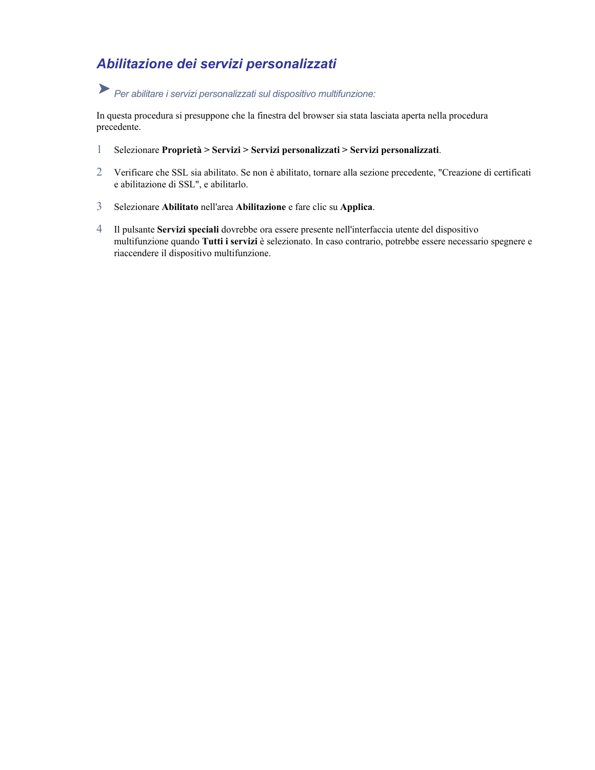## *Abilitazione dei servizi personalizzati*

# *Per abilitare i servizi personalizzati sul dispositivo multifunzione:*

In questa procedura si presuppone che la finestra del browser sia stata lasciata aperta nella procedura precedente.

- **personalizzati**. 1 Selezionare **Proprietà > Servizi > Servizi personalizzati > Servizi**
- 2 Verificare che SSL sia abilitato. Se non è abilitato, tornare alla sezione precedente, "Creazione di certificati e abilitazione di SSL", e abilitarlo.
- 3 Selezionare **Abilitato** nell'area **Abilitazione** e fare clic su **Applica**.
- 4 Il pulsante **Servizi speciali** dovrebbe ora essere presente nell'interfaccia utente del dispositivo multifunzione quando **Tutti i servizi** è selezionato. In caso contrario, potrebbe essere necessario spegnere e riaccendere il dispositivo multifunzione.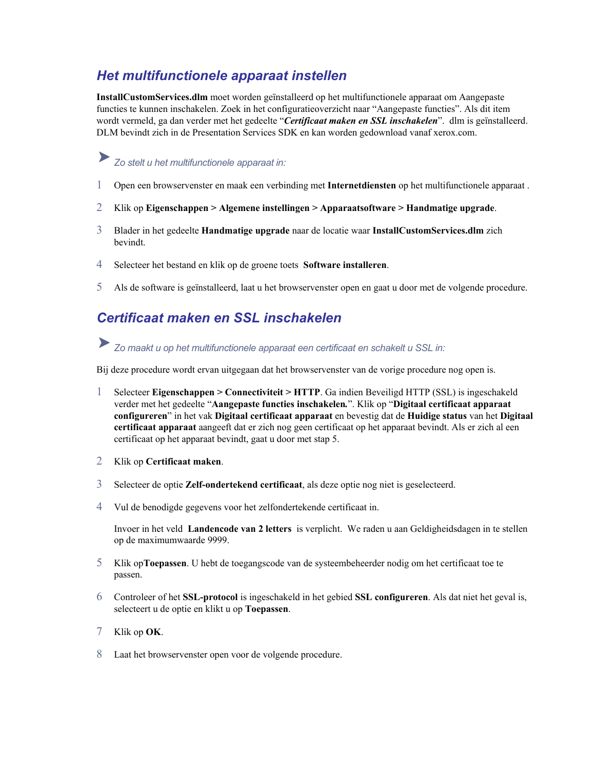### *Het multifunctionele apparaat instellen*

**InstallCustomServices.dlm** moet worden geïnstalleerd op het multifunctionele apparaat om Aangepaste functies te kunnen inschakelen. Zoek in het configuratieoverzicht naar "Aangepaste functies". Als dit item wordt vermeld, ga dan verder met het gedeelte "*Certificaat maken en SSL inschakelen*". dlm is geïnstalleerd. DLM bevindt zich in de Presentation Services SDK en kan worden gedownload vanaf xerox.com.

# *Zo stelt u het multifunctionele apparaat in:*

- 1 Open een browservenster en maak een verbinding met **Internetdiensten** op het multifunctionele apparaat .
- 2 Klik op **Eigenschappen > Algemene instellingen > Apparaatsoftware > Handmatige upgrade**.
- 3 Blader in het gedeelte **Handmatige upgrade** naar de locatie waar **InstallCustomServices.dlm** zich bevindt.
- 4 Selecteer het bestand en klik op de groene toets **Software installeren**.
- 5 Als de software is geïnstalleerd, laat u het browservenster open en gaat u door met de volgende procedure.

### *Certificaat maken en SSL inschakelen*

*Zo maakt u op het multifunctionele apparaat een certificaat en schakelt u SSL in:* 

Bij deze procedure wordt ervan uitgegaan dat het browservenster van de vorige procedure nog open is.

- 1 Selecteer **Eigenschappen > Connectiviteit > HTTP**. Ga indien Beveiligd HTTP (SSL) is ingeschakeld verder met het gedeelte "**Aangepaste functies inschakelen***.*". Klik op "**Digitaal certificaat apparaat configureren**" in het vak **Digitaal certificaat apparaat** en bevestig dat de **Huidige status** van het **Digitaal certificaat apparaat** aangeeft dat er zich nog geen certificaat op het apparaat bevindt. Als er zich al een certificaat op het apparaat bevindt, gaat u door met stap 5.
- 2 Klik op **Certificaat maken**.
- 3 Selecteer de optie **Zelf-ondertekend certificaat**, als deze optie nog niet is geselecteerd.
- 4 Vul de benodigde gegevens voor het zelfondertekende certificaat in.

Invoer in het veld Landencode van 2 letters is verplicht. We raden u aan Geldigheidsdagen in te stellen op de maximumwaarde 9999.

- 5 **oepassen**. U hebt de toegangscode van de systeembeheerder nodig om het certificaat toe te Klik op**T** passen.
- 6 in het gebied **SSL configureren**. Als dat niet het geval is, Controleer of het **SSL-protocol** is ingeschakeld selecteert u de optie en klikt u op **Toepassen**.
- 7 Klik op **OK**.
- 8 Laat het browservenster open voor de volgende procedure.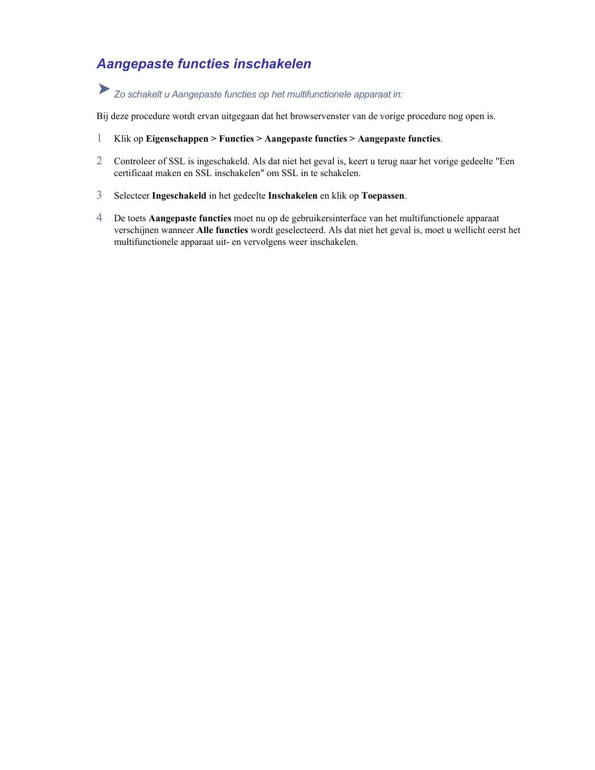### *Aangepaste functies inschakelen*

# *Zo schakelt u Aangepaste functies op het multifunctionele apparaat in:*

Bij deze procedure wordt ervan uitgegaan dat het browservenster van de vorige procedure nog open is.

- 1 Klik op **Eigenschappen > Functies > Aangepaste functies > Aangepaste functies.**
- 2 Controleer of SSL is ingeschakeld. Als dat niet het geval is, keert u terug naar het vorige gedeelte "Een certificaat maken en SSL inschakelen" om SSL in te schakelen.
- 3 Selecteer **Ingeschakeld** in het gedeelte **Inschakelen** en klik op **Toepassen**.
- 4 De toets **Aangepaste functies** moet nu op de gebruikersinterface van het multifunctionele apparaat verschijnen wanneer **Alle functies** wordt geselecteerd. Als dat niet het geval is, moet u wellicht eerst het multifunctionele apparaat uit- en vervolgens weer inschakelen.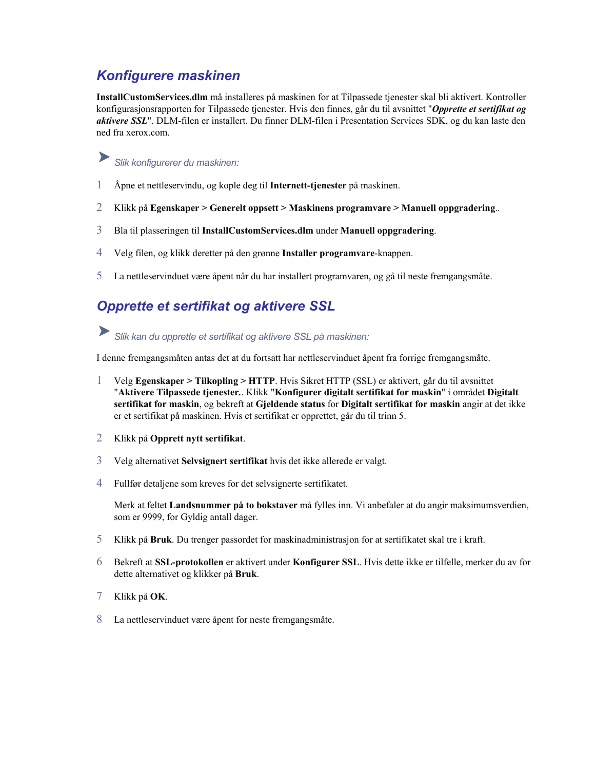### *Konfigurere maskinen*

**InstallCustomServices.dlm** må installeres på maskinen for at Tilpassede tjenester skal bli aktivert. Kontroller konfigurasjonsrapporten for Tilpassede tjenester. Hvis den finnes, går du til avsnittet "*Opprette et sertifikat og aktivere SSL*". DLM-filen er installert. Du finner DLM-filen i Presentation Services SDK, og du kan laste den ned fra xerox.com.

#### ▶ *Slik konfigurerer du maskinen:*

- 1 Åpne et nettleservindu, og kople deg til **Internett-tjenester** på maskinen.
- 2 Klikk på **Egenskaper > Generelt oppsett > Maskinens programvare > Manuell oppgradering**..
- 3 Bla til plasseringen til **InstallCustomServices.dlm** under **Manuell oppgradering**.
- 4 Velg filen, og klikk deretter på den grønne **Installer programvare**-knappen.
- 5 La nettleservinduet være åpent når du har installert programvaren, og gå til neste fremgangsmåte.

### *Opprette et sertifikat og aktivere SSL*

*Slik kan du opprette et sertifikat og aktivere SSL på maskinen:* 

I denne fremgangsmåten antas det at du fortsatt har nettleservinduet åpent fra forrige fremgangsmåte.

- 1 Velg **Egenskaper > Tilkopling > HTTP**. Hvis Sikret HTTP (SSL) er aktivert, går du til avsnittet "**Aktivere Tilpassede tjenester***.*. Klikk "**Konfigurer digitalt sertifikat for maskin**" i området **Digitalt sertifikat for maskin**, og bekreft at **Gjeldende status** for **Digitalt sertifikat for maskin** angir at det ikke er et sertifikat på maskinen. Hvis et sertifikat er opprettet, går du til trinn 5.
- 2 Klikk på **Opprett nytt sertifikat**.
- 3 Velg alternativet **Selvsignert sertifikat** hvis det ikke allerede er valgt.
- 4 Fullfør detaljene som kreves for det selvsignerte sertifikatet.

Merk at feltet **Landsnummer på to bokstaver** må fylles inn. Vi anbefaler at du angir maksimumsverdien, som er 9999, for Gyldig antall dager.

- 5 Klikk på **Bruk**. Du trenger passordet for maskinadministrasjon for at sertifikatet skal tre i kraft.
- 6 Bekreft at SSL-protokollen er aktivert under Konfigurer SSL. Hvis dette ikke er tilfelle, merker du av for dette alternativet og klikker på Bruk.
- 7 Klikk på **OK**.
- 8 La nettleservinduet være åpent for neste fremgangsmåte.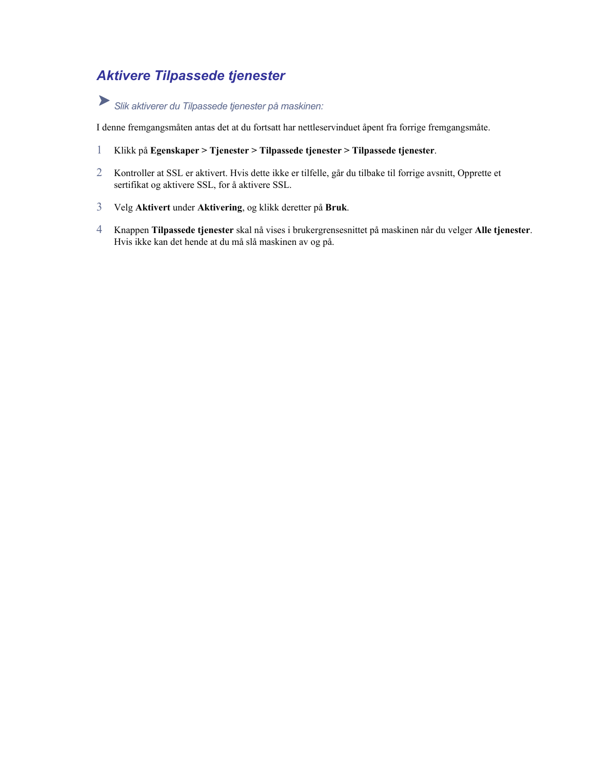### *Aktivere Tilpassede tjenester*

*Slik aktiverer du Tilpassede tjenester på maskinen:*

I denne fremgangsmåten antas det at du fortsatt har nettleservinduet åpent fra forrige fremgangsmåte.

- 1 Klikk på **Egenskaper > Tjenester > Tilpassede tjenester > Tilpassede tjenester**.
- 2 Kontroller at SSL er aktivert. Hvis dette ikke er tilfelle, går du tilbake til forrige avsnitt, Opprette et sertifikat og aktivere SSL, for å aktivere SSL.
- 3 Velg **Aktivert** under **Aktivering**, og klikk deretter på **Bruk**.
- 4 Knappen **Tilpassede tjenester** skal nå vises i brukergrensesnittet på maskinen når du velger **Alle tjenester**. Hvis ikke kan det hende at du må slå maskinen av og på.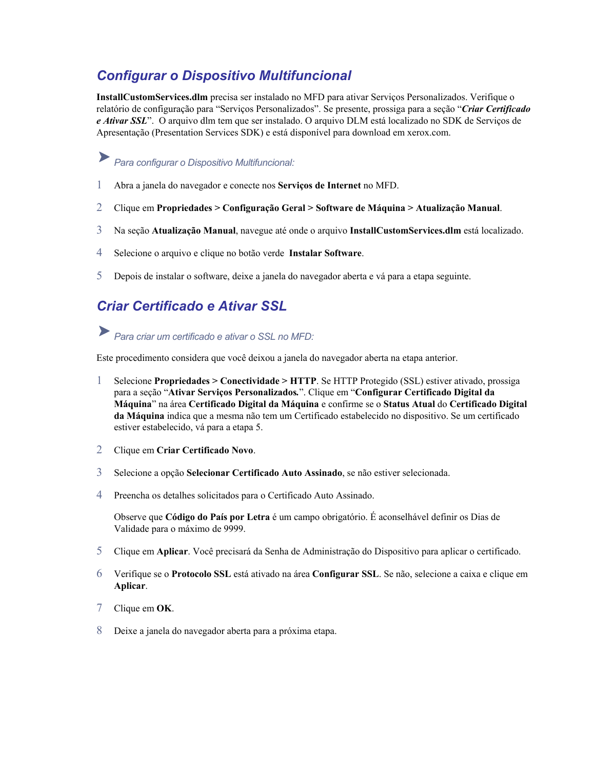### *Configurar o Dispositivo Multifuncional*

**InstallCustomServices.dlm** precisa ser instalado no MFD para ativar Serviços Personalizados. Verifique o relatório de configuração para "Serviços Personalizados". Se presente, prossiga para a seção "*Criar Certificado e Ativar SSL*". O arquivo dlm tem que ser instalado. O arquivo DLM está localizado no SDK de Serviços de Apresentação (Presentation Services SDK) e está disponível para download em xerox.com.

# *Para configurar o Dispositivo Multifuncional:*

- 1 Abra a janela do navegador e conecte nos **Serviços de Internet** no MFD.
- 2 Clique em **Propriedades > Configuração Geral > Software de Máquina > Atualização Manual**.
- 3 Na seção **Atualização Manual**, navegue até onde o arquivo **InstallCustomServices.dlm** está localizado.
- 4 Selecione o arquivo e clique no botão verde **Instalar Software**.
- 5 Depois de instalar o software, deixe a janela do navegador aberta e vá para a etapa seguinte.

### *Criar Certificado e Ativar SSL*

### *Para criar um certificado e ativar o SSL no MFD:*

Este procedimento considera que você deixou a janela do navegador aberta na etapa anterior.

- 1 Selecione **Propriedades > Conectividade > HTTP**. Se HTTP Protegido (SSL) estiver ativado, prossiga para a seção "**Ativar Serviços Personalizados***.*". Clique em "**Configurar Certificado Digital da Máquina**" na área **Certificado Digital da Máquina** e confirme se o **Status Atual** do **Certificado Digital da Máquina** indica que a mesma não tem um Certificado estabelecido no dispositivo. Se um certificado estiver estabelecido, vá para a etapa 5.
- 2 Clique em **Criar Certificado Novo**.
- 3 Selecione a opção **Selecionar Certificado Auto Assinado**, se não estiver selecionada.
- 4 Preencha os detalhes solicitados para o Certificado Auto Assinado.

Observe que Código do País por Letra é um campo obrigatório. É aconselhável definir os Dias de Validade para o máximo de 9999.

- 5 Clique em **Aplicar**. Você precisará da Senha de Administração do Dispositivo para aplicar o certificado.
- 6 Verifique se o Protocolo SSL está ativado na área Configurar SSL. Se não, selecione a caixa e clique em **Aplicar**.
- 7 Clique em **OK**.
- 8 Deixe a janela do navegador aberta para a próxima etapa.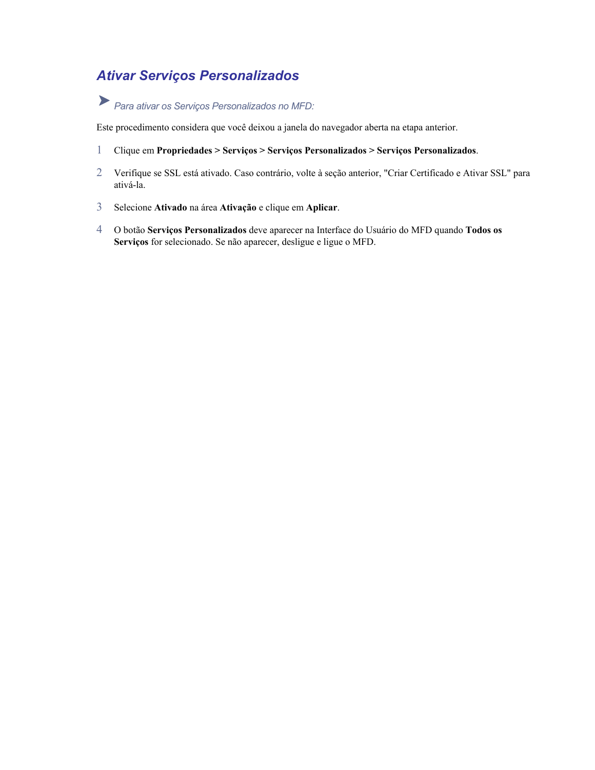### *Ativar Serviços Personalizados*

# *Para ativar os Serviços Personalizados no MFD:*

Este procedimento considera que você deixou a janela do navegador aberta na etapa anterior.

- 1 Clique em **Propriedades > Serviços > Serviços Personalizados > Serviços Personalizados**.
- 2 Verifique se SSL está ativado. Caso contrário, volte à seção anterior, "Criar Certificado e Ativar SSL" para ativá-la.
- 3 Selecione **Ativado** na área **Ativação** e clique em **Aplicar**.
- 4 O botão **Serviços Personalizados** deve aparecer na Interface do Usuário do MFD quando **Todos os Serviços** for selecionado. Se não aparecer, desligue e ligue o MFD.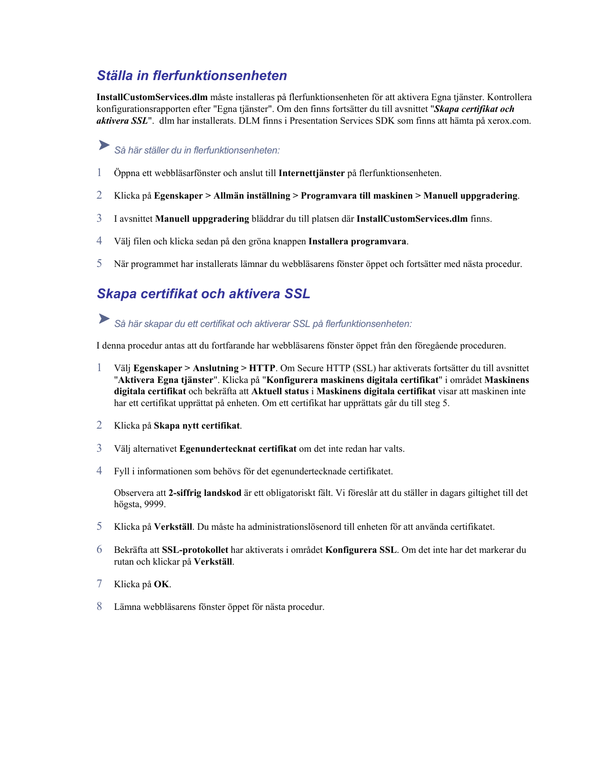### *Ställa in flerfunktionsenheten*

**InstallCustomServices.dlm** måste installeras på flerfunktionsenheten för att aktivera Egna tjänster. Kontrollera konfigurationsrapporten efter "Egna tjänster". Om den finns fortsätter du till avsnittet "*Skapa certifikat och aktivera SSL*". dlm har installerats. DLM finns i Presentation Services SDK som finns att hämta på xerox.com.

### ➤ *Så här ställer du in flerfunktionsenheten:*

- 1 Öppna ett webbläsarfönster och anslut till **Internettjänster** på flerfunktionsenheten.
- 2 Klicka på **Egenskaper > Allmän inställning > Programvara till maskinen > Manuell uppgradering**.
- 3 I avsnittet **Manuell uppgradering** bläddrar du till platsen där **InstallCustomServices.dlm** finns.
- 4 Välj filen och klicka sedan på den gröna knappen **Installera programvara**.
- 5 När programmet har installerats lämnar du webbläsarens fönster öppet och fortsätter med nästa procedur.

### *Skapa certifikat och aktivera SSL*

#### ▶ *Så här skapar du ett certifikat och aktiverar SSL på flerfunktionsenheten:*

I denna procedur antas att du fortfarande har webbläsarens fönster öppet från den föregående proceduren.

- 1 Välj **Egenskaper > Anslutning > HTTP**. Om Secure HTTP (SSL) har aktiverats fortsätter du till avsnittet "**Aktivera Egna tjänster**". Klicka på "**Konfigurera maskinens digitala certifikat**" i området **Maskinens digitala certifikat** och bekräfta att **Aktuell status** i **Maskinens digitala certifikat** visar att maskinen inte har ett certifikat upprättat på enheten. Om ett certifikat har upprättats går du till steg 5.
- 2 Klicka på **Skapa nytt certifikat**.
- 3 Välj alternativet **Egenundertecknat certifikat** om det inte redan har valts.
- 4 Fyll i informationen som behövs för det egenundertecknade certifikatet.

Observera att 2-siffrig landskod är ett obligatoriskt fält. Vi föreslår att du ställer in dagars giltighet till det högsta, 9999.

- 5 Klicka på **Verkställ**. Du måste ha administrationslösenord till enheten för att använda certifikatet.
- 6 aktiverats i området **Konfigurera SSL**. Om det inte har det markerar du Bekräfta att **SSL-protokollet** har rutan och klickar på Verkställ.
- 7 Klicka på **OK**.
- 8 Lämna webbläsarens fönster öppet för nästa procedur.